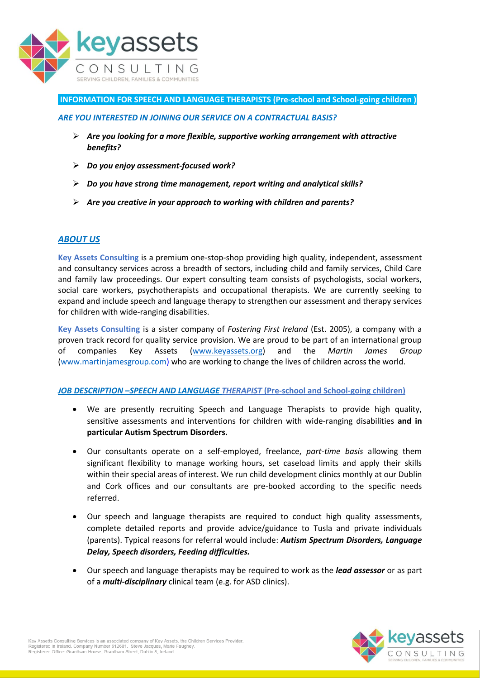

## **INFORMATION FOR SPEECH AND LANGUAGE THERAPISTS (Pre-school and School-going children )**

#### *ARE YOU INTERESTED IN JOINING OUR SERVICE ON A CONTRACTUAL BASIS?*

- *Are you looking for a more flexible, supportive working arrangement with attractive benefits?*
- *Do you enjoy assessment-focused work?*
- *Do you have strong time management, report writing and analytical skills?*
- *Are you creative in your approach to working with children and parents?*

### *ABOUT US*

**Key Assets Consulting** is a premium one-stop-shop providing high quality, independent, assessment and consultancy services across a breadth of sectors, including child and family services, Child Care and family law proceedings. Our expert consulting team consists of psychologists, social workers, social care workers, psychotherapists and occupational therapists. We are currently seeking to expand and include speech and language therapy to strengthen our assessment and therapy services for children with wide-ranging disabilities.

**Key Assets Consulting** is a sister company of *Fostering First Ireland* (Est. 2005), a company with a proven track record for quality service provision. We are proud to be part of an international group of companies Key Assets [\(www.keyassets.org\)](http://www.keyassets.org/) and the *Martin James Group* [\(www.martinjamesgroup.com\)](http://www.martinjamesgroup.com/) who are working to change the lives of children across the world.

### *JOB DESCRIPTION –SPEECH AND LANGUAGE THERAPIST* **(Pre-school and School-going children)**

- We are presently recruiting Speech and Language Therapists to provide high quality, sensitive assessments and interventions for children with wide-ranging disabilities **and in particular Autism Spectrum Disorders.**
- Our consultants operate on a self-employed, freelance, *part-time basis* allowing them significant flexibility to manage working hours, set caseload limits and apply their skills within their special areas of interest. We run child development clinics monthly at our Dublin and Cork offices and our consultants are pre-booked according to the specific needs referred.
- Our speech and language therapists are required to conduct high quality assessments, complete detailed reports and provide advice/guidance to Tusla and private individuals (parents). Typical reasons for referral would include: *Autism Spectrum Disorders, Language Delay, Speech disorders, Feeding difficulties.*
- Our speech and language therapists may be required to work as the *lead assessor* or as part of a *multi-disciplinary* clinical team (e.g. for ASD clinics).

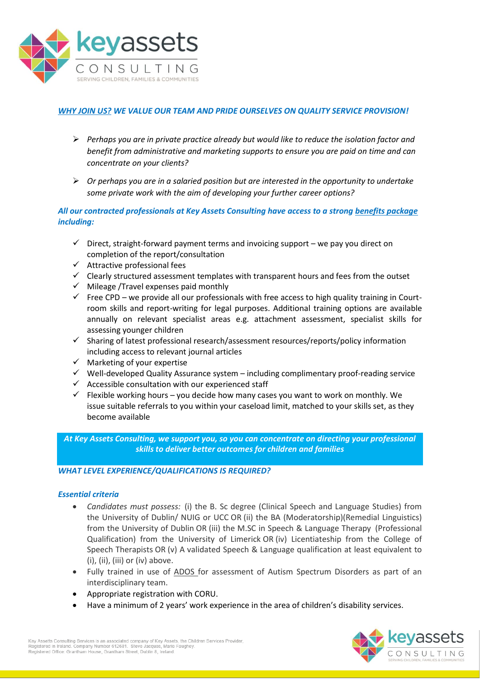

# *WHY JOIN US? WE VALUE OUR TEAM AND PRIDE OURSELVES ON QUALITY SERVICE PROVISION!*

- *Perhaps you are in private practice already but would like to reduce the isolation factor and benefit from administrative and marketing supports to ensure you are paid on time and can concentrate on your clients?*
- *Or perhaps you are in a salaried position but are interested in the opportunity to undertake some private work with the aim of developing your further career options?*

## *All our contracted professionals at Key Assets Consulting have access to a strong benefits package including:*

- $\checkmark$  Direct, straight-forward payment terms and invoicing support we pay you direct on completion of the report/consultation
- $\checkmark$  Attractive professional fees
- $\checkmark$  Clearly structured assessment templates with transparent hours and fees from the outset
- $\checkmark$  Mileage /Travel expenses paid monthly
- $\checkmark$  Free CPD we provide all our professionals with free access to high quality training in Courtroom skills and report-writing for legal purposes. Additional training options are available annually on relevant specialist areas e.g. attachment assessment, specialist skills for assessing younger children
- $\checkmark$  Sharing of latest professional research/assessment resources/reports/policy information including access to relevant journal articles
- $\checkmark$  Marketing of your expertise
- $\checkmark$  Well-developed Quality Assurance system including complimentary proof-reading service
- $\checkmark$  Accessible consultation with our experienced staff
- $\checkmark$  Flexible working hours you decide how many cases you want to work on monthly. We issue suitable referrals to you within your caseload limit, matched to your skills set, as they become available

*At Key Assets Consulting, we support you, so you can concentrate on directing your professional skills to deliver better outcomes for children and families*

## *WHAT LEVEL EXPERIENCE/QUALIFICATIONS IS REQUIRED?*

### *Essential criteria*

- *Candidates must possess:* (i) the B. Sc degree (Clinical Speech and Language Studies) from the University of Dublin/ NUIG or UCC OR (ii) the BA (Moderatorship)(Remedial Linguistics) from the University of Dublin OR (iii) the M.SC in Speech & Language Therapy (Professional Qualification) from the University of Limerick OR (iv) Licentiateship from the College of Speech Therapists OR (v) A validated Speech & Language qualification at least equivalent to (i), (ii), (iii) or (iv) above.
- Fully trained in use of ADOS for assessment of Autism Spectrum Disorders as part of an interdisciplinary team.
- Appropriate registration with CORU.
- Have a minimum of 2 years' work experience in the area of children's disability services.